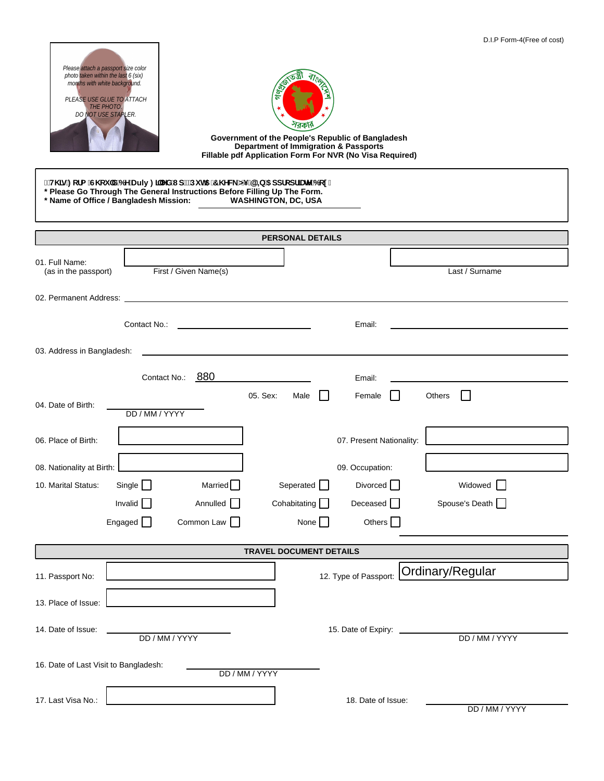| D.I.P Form-4(Free of cost)<br>Please attach a passport size color<br>photo taken within the last 6 (six)<br>months with white background.<br><u>ئابا</u><br>PLEASE USE GLUE TO ATTACH<br>THE PHOTO.<br>DO NOT USE STAPLER.<br>1রক<br>Government of the People's Republic of Bangladesh<br><b>Department of Immigration &amp; Passports</b><br>Fillable pdf Application Form For NVR (No Visa Required)<br>ł H\]g : cfa G\ ci `X 6 Y Duly : ]``YX l d" Di h5 7\ YW O G+5 5 ddfcdf]UhY 6 cl "<br>* Please Go Through The General Instructions Before Filling Up The Form.<br>* Name of Office / Bangladesh Mission: WASHINGTON, DC, USA |                                                                          |  |  |  |  |  |  |  |
|---------------------------------------------------------------------------------------------------------------------------------------------------------------------------------------------------------------------------------------------------------------------------------------------------------------------------------------------------------------------------------------------------------------------------------------------------------------------------------------------------------------------------------------------------------------------------------------------------------------------------------------|--------------------------------------------------------------------------|--|--|--|--|--|--|--|
| <b>PERSONAL DETAILS</b>                                                                                                                                                                                                                                                                                                                                                                                                                                                                                                                                                                                                               |                                                                          |  |  |  |  |  |  |  |
| 01. Full Name:                                                                                                                                                                                                                                                                                                                                                                                                                                                                                                                                                                                                                        |                                                                          |  |  |  |  |  |  |  |
| First / Given Name(s)<br>(as in the passport)                                                                                                                                                                                                                                                                                                                                                                                                                                                                                                                                                                                         | Last / Surname                                                           |  |  |  |  |  |  |  |
|                                                                                                                                                                                                                                                                                                                                                                                                                                                                                                                                                                                                                                       |                                                                          |  |  |  |  |  |  |  |
|                                                                                                                                                                                                                                                                                                                                                                                                                                                                                                                                                                                                                                       |                                                                          |  |  |  |  |  |  |  |
|                                                                                                                                                                                                                                                                                                                                                                                                                                                                                                                                                                                                                                       | Email:                                                                   |  |  |  |  |  |  |  |
| 03. Address in Bangladesh:                                                                                                                                                                                                                                                                                                                                                                                                                                                                                                                                                                                                            |                                                                          |  |  |  |  |  |  |  |
|                                                                                                                                                                                                                                                                                                                                                                                                                                                                                                                                                                                                                                       |                                                                          |  |  |  |  |  |  |  |
| Contact No.: 880                                                                                                                                                                                                                                                                                                                                                                                                                                                                                                                                                                                                                      | Email:                                                                   |  |  |  |  |  |  |  |
| 05. Sex:<br>Male<br>04. Date of Birth:                                                                                                                                                                                                                                                                                                                                                                                                                                                                                                                                                                                                | Female<br>Others<br>$\mathbf{L}$<br>$\Box$                               |  |  |  |  |  |  |  |
| DD / MM / YYYY                                                                                                                                                                                                                                                                                                                                                                                                                                                                                                                                                                                                                        |                                                                          |  |  |  |  |  |  |  |
| 06. Place of Birth:                                                                                                                                                                                                                                                                                                                                                                                                                                                                                                                                                                                                                   | 07. Present Nationality:<br>the control of the control of the control of |  |  |  |  |  |  |  |
|                                                                                                                                                                                                                                                                                                                                                                                                                                                                                                                                                                                                                                       |                                                                          |  |  |  |  |  |  |  |
| 08. Nationality at Birth:                                                                                                                                                                                                                                                                                                                                                                                                                                                                                                                                                                                                             | 09. Occupation:                                                          |  |  |  |  |  |  |  |
| Married $\Box$<br>Seperated [<br>Single $\Box$<br>10. Marital Status:                                                                                                                                                                                                                                                                                                                                                                                                                                                                                                                                                                 | Divorced L<br>Widowed <b>N</b>                                           |  |  |  |  |  |  |  |
| Invalid $\Box$<br>Annulled $\Box$<br>Cohabitating $\Box$                                                                                                                                                                                                                                                                                                                                                                                                                                                                                                                                                                              | Deceased $\Box$<br>Spouse's Death                                        |  |  |  |  |  |  |  |
| Engaged $\Box$<br>Common Law $\Box$<br>None $\Box$                                                                                                                                                                                                                                                                                                                                                                                                                                                                                                                                                                                    | Others $\Box$                                                            |  |  |  |  |  |  |  |
| <b>TRAVEL DOCUMENT DETAILS</b>                                                                                                                                                                                                                                                                                                                                                                                                                                                                                                                                                                                                        |                                                                          |  |  |  |  |  |  |  |
|                                                                                                                                                                                                                                                                                                                                                                                                                                                                                                                                                                                                                                       | Ordinary/Regular                                                         |  |  |  |  |  |  |  |
| 11. Passport No:                                                                                                                                                                                                                                                                                                                                                                                                                                                                                                                                                                                                                      | 12. Type of Passport:                                                    |  |  |  |  |  |  |  |
| 13. Place of Issue:                                                                                                                                                                                                                                                                                                                                                                                                                                                                                                                                                                                                                   |                                                                          |  |  |  |  |  |  |  |
|                                                                                                                                                                                                                                                                                                                                                                                                                                                                                                                                                                                                                                       |                                                                          |  |  |  |  |  |  |  |
| 14. Date of Issue:<br>DD / MM / YYYY                                                                                                                                                                                                                                                                                                                                                                                                                                                                                                                                                                                                  | 15. Date of Expiry:<br>DD / MM / YYYY                                    |  |  |  |  |  |  |  |
|                                                                                                                                                                                                                                                                                                                                                                                                                                                                                                                                                                                                                                       |                                                                          |  |  |  |  |  |  |  |
| 16. Date of Last Visit to Bangladesh:<br>DD / MM / YYYY                                                                                                                                                                                                                                                                                                                                                                                                                                                                                                                                                                               |                                                                          |  |  |  |  |  |  |  |
| 17. Last Visa No.:                                                                                                                                                                                                                                                                                                                                                                                                                                                                                                                                                                                                                    | 18. Date of Issue:                                                       |  |  |  |  |  |  |  |
|                                                                                                                                                                                                                                                                                                                                                                                                                                                                                                                                                                                                                                       | DD / MM / YYYY                                                           |  |  |  |  |  |  |  |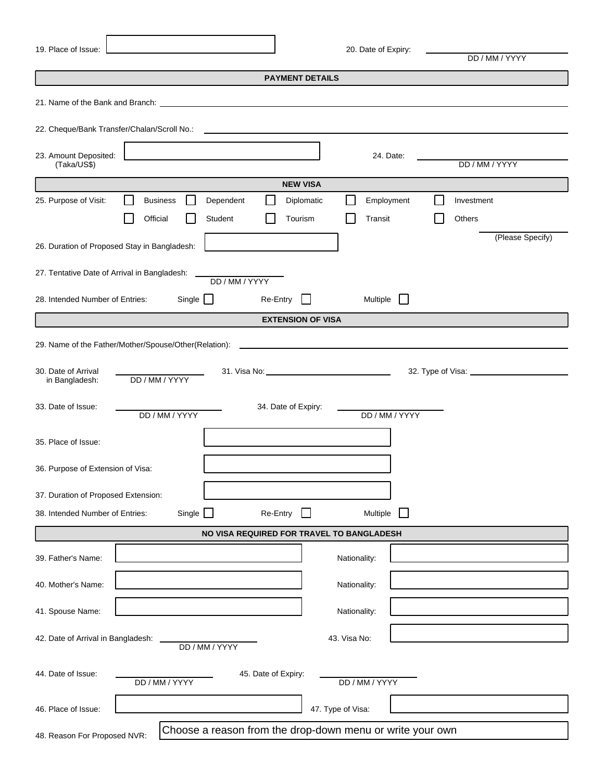| 19. Place of Issue:                                                                                                                                                                                                            | 20. Date of Expiry:<br>DD / MM / YYYY     |  |  |  |  |
|--------------------------------------------------------------------------------------------------------------------------------------------------------------------------------------------------------------------------------|-------------------------------------------|--|--|--|--|
|                                                                                                                                                                                                                                | <b>PAYMENT DETAILS</b>                    |  |  |  |  |
|                                                                                                                                                                                                                                |                                           |  |  |  |  |
| 21. Name of the Bank and Branch: Letter and Article and Article and Article and Article and Article and Article and Article and Article and Article and Article and Article and Article and Article and Article and Article an |                                           |  |  |  |  |
|                                                                                                                                                                                                                                |                                           |  |  |  |  |
| 23. Amount Deposited:<br>(Taka/US\$)                                                                                                                                                                                           | 24. Date:<br>DD / MM / YYYY               |  |  |  |  |
|                                                                                                                                                                                                                                | <b>NEW VISA</b>                           |  |  |  |  |
| Dependent<br>25. Purpose of Visit:<br><b>Business</b>                                                                                                                                                                          | Diplomatic<br>Employment<br>Investment    |  |  |  |  |
| Official<br>Student                                                                                                                                                                                                            | Tourism<br>Transit<br><b>Others</b>       |  |  |  |  |
| 26. Duration of Proposed Stay in Bangladesh:                                                                                                                                                                                   | (Please Specify)                          |  |  |  |  |
| 27. Tentative Date of Arrival in Bangladesh:<br>DD / MM / YYYY                                                                                                                                                                 |                                           |  |  |  |  |
| Single $\Box$<br>28. Intended Number of Entries:<br>Re-Entry                                                                                                                                                                   | Multiple                                  |  |  |  |  |
|                                                                                                                                                                                                                                | <b>EXTENSION OF VISA</b>                  |  |  |  |  |
| 29. Name of the Father/Mother/Spouse/Other(Relation):                                                                                                                                                                          |                                           |  |  |  |  |
| 30. Date of Arrival<br>DD / MM / YYYY<br>in Bangladesh:                                                                                                                                                                        |                                           |  |  |  |  |
| 33. Date of Issue:<br>34. Date of Expiry:<br>DD / MM / YYYY                                                                                                                                                                    | DD / MM / YYYY                            |  |  |  |  |
| 35. Place of Issue:                                                                                                                                                                                                            |                                           |  |  |  |  |
| 36. Purpose of Extension of Visa:                                                                                                                                                                                              |                                           |  |  |  |  |
| 37. Duration of Proposed Extension:                                                                                                                                                                                            |                                           |  |  |  |  |
| Single<br>Re-Entry<br>38. Intended Number of Entries:                                                                                                                                                                          | Multiple                                  |  |  |  |  |
|                                                                                                                                                                                                                                | NO VISA REQUIRED FOR TRAVEL TO BANGLADESH |  |  |  |  |
| 39. Father's Name:                                                                                                                                                                                                             | Nationality:                              |  |  |  |  |
| 40. Mother's Name:                                                                                                                                                                                                             | Nationality:                              |  |  |  |  |
| 41. Spouse Name:                                                                                                                                                                                                               | Nationality:                              |  |  |  |  |
| 42. Date of Arrival in Bangladesh:<br>DD / MM / YYYY                                                                                                                                                                           | 43. Visa No:                              |  |  |  |  |
| 44. Date of Issue:<br>45. Date of Expiry:<br>DD / MM / YYYY                                                                                                                                                                    | DD / MM / YYYY                            |  |  |  |  |
| 46. Place of Issue:                                                                                                                                                                                                            | 47. Type of Visa:                         |  |  |  |  |
| Choose a reason from the drop-down menu or write your own<br>48. Reason For Proposed NVR:                                                                                                                                      |                                           |  |  |  |  |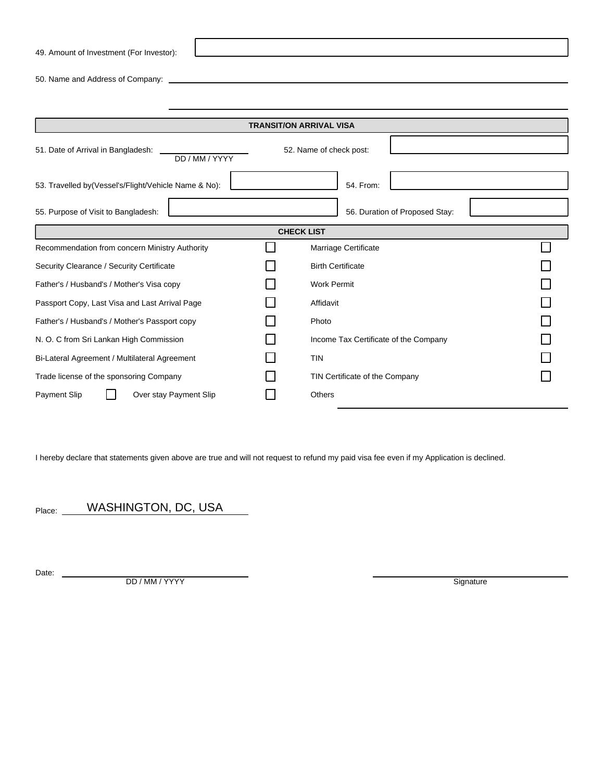49. Amount of Investment (For Investor):

50. Name and Address of Company:

| <b>TRANSIT/ON ARRIVAL VISA</b>                        |  |                                       |  |  |  |  |  |
|-------------------------------------------------------|--|---------------------------------------|--|--|--|--|--|
| 51. Date of Arrival in Bangladesh:<br>DD / MM / YYYY  |  |                                       |  |  |  |  |  |
| 53. Travelled by (Vessel's/Flight/Vehicle Name & No): |  | 54. From:                             |  |  |  |  |  |
| 55. Purpose of Visit to Bangladesh:                   |  | 56. Duration of Proposed Stay:        |  |  |  |  |  |
| <b>CHECK LIST</b>                                     |  |                                       |  |  |  |  |  |
| Recommendation from concern Ministry Authority        |  | Marriage Certificate                  |  |  |  |  |  |
| Security Clearance / Security Certificate             |  | <b>Birth Certificate</b>              |  |  |  |  |  |
| Father's / Husband's / Mother's Visa copy             |  | <b>Work Permit</b>                    |  |  |  |  |  |
| Passport Copy, Last Visa and Last Arrival Page        |  | Affidavit                             |  |  |  |  |  |
| Father's / Husband's / Mother's Passport copy         |  | Photo                                 |  |  |  |  |  |
| N. O. C from Sri Lankan High Commission               |  | Income Tax Certificate of the Company |  |  |  |  |  |
| Bi-Lateral Agreement / Multilateral Agreement         |  | <b>TIN</b>                            |  |  |  |  |  |
| Trade license of the sponsoring Company               |  | TIN Certificate of the Company        |  |  |  |  |  |
| Payment Slip<br>Over stay Payment Slip                |  | <b>Others</b>                         |  |  |  |  |  |

I hereby declare that statements given above are true and will not request to refund my paid visa fee even if my Application is declined.

Place: WASHINGTON, DC, USA

Date: \_

**DD** / MM / YYYY Signature